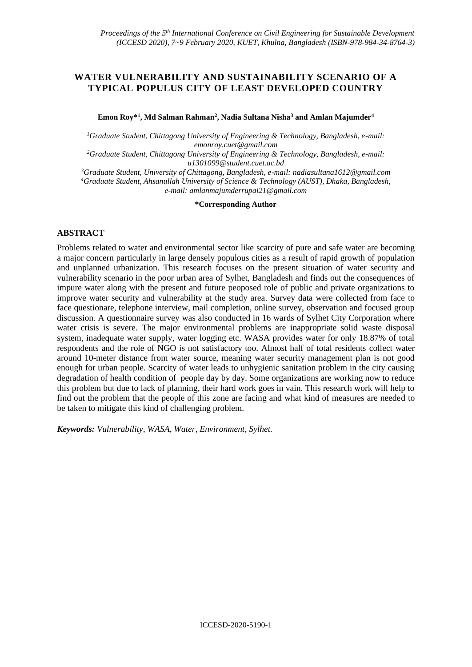# **WATER VULNERABILITY AND SUSTAINABILITY SCENARIO OF A TYPICAL POPULUS CITY OF LEAST DEVELOPED COUNTRY**

**Emon Roy\*<sup>1</sup> , Md Salman Rahman<sup>2</sup> , Nadia Sultana Nisha<sup>3</sup> and Amlan Majumder<sup>4</sup>**

*<sup>1</sup>Graduate Student, Chittagong University of Engineering & Technology, Bangladesh, e-mail: emonroy.cuet@gmail.com*

*<sup>2</sup>Graduate Student, Chittagong University of Engineering & Technology, Bangladesh, e-mail: u1301099@student.cuet.ac.bd*

*<sup>3</sup>Graduate Student, University of Chittagong, Bangladesh, e-mail[: nadiasultana1612@gmail.com](mailto:nadiasultana1612@gmail.com) <sup>4</sup>Graduate Student, Ahsanullah University of Science & Technology (AUST), Dhaka, Bangladesh, e-mail: amlanmajumderrupai21@gmail.com*

**\*Corresponding Author**

### **ABSTRACT**

Problems related to water and environmental sector like scarcity of pure and safe water are becoming a major concern particularly in large densely populous cities as a result of rapid growth of population and unplanned urbanization. This research focuses on the present situation of water security and vulnerability scenario in the poor urban area of Sylhet, Bangladesh and finds out the consequences of impure water along with the present and future peoposed role of public and private organizations to improve water security and vulnerability at the study area. Survey data were collected from face to face questionare, telephone interview, mail completion, online survey, observation and focused group discussion. A questionnaire survey was also conducted in 16 wards of Sylhet City Corporation where water crisis is severe. The major environmental problems are inappropriate solid waste disposal system, inadequate water supply, water logging etc. WASA provides water for only 18.87% of total respondents and the role of NGO is not satisfactory too. Almost half of total residents collect water around 10-meter distance from water source, meaning water security management plan is not good enough for urban people. Scarcity of water leads to unhygienic sanitation problem in the city causing degradation of health condition of people day by day. Some organizations are working now to reduce this problem but due to lack of planning, their hard work goes in vain. This research work will help to find out the problem that the people of this zone are facing and what kind of measures are needed to be taken to mitigate this kind of challenging problem.

*Keywords: Vulnerability, WASA, Water, Environment, Sylhet.*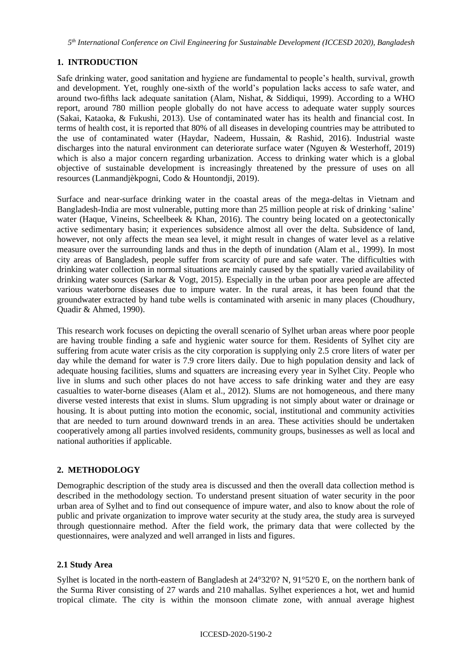# **1. INTRODUCTION**

Safe drinking water, good sanitation and hygiene are fundamental to people's health, survival, growth and development. Yet, roughly one-sixth of the world's population lacks access to safe water, and around two-fifths lack adequate sanitation (Alam, Nishat, & Siddiqui, 1999). According to a WHO report, around 780 million people globally do not have access to adequate water supply sources (Sakai, Kataoka, & Fukushi, 2013). Use of contaminated water has its health and financial cost. In terms of health cost, it is reported that 80% of all diseases in developing countries may be attributed to the use of contaminated water (Haydar, Nadeem, Hussain, & Rashid, 2016). Industrial waste discharges into the natural environment can deteriorate surface water (Nguyen & Westerhoff, 2019) which is also a major concern regarding urbanization. Access to drinking water which is a global objective of sustainable development is increasingly threatened by the pressure of uses on all resources (Lanmandjèkpogni, Codo & Hountondji, 2019).

Surface and near-surface drinking water in the coastal areas of the mega-deltas in Vietnam and Bangladesh-India are most vulnerable, putting more than 25 million people at risk of drinking 'saline' water (Haque, Vineins, Scheelbeek & Khan, 2016). The country being located on a geotectonically active sedimentary basin; it experiences subsidence almost all over the delta. Subsidence of land, however, not only affects the mean sea level, it might result in changes of water level as a relative measure over the surrounding lands and thus in the depth of inundation (Alam et al., 1999). In most city areas of Bangladesh, people suffer from scarcity of pure and safe water. The difficulties with drinking water collection in normal situations are mainly caused by the spatially varied availability of drinking water sources (Sarkar & Vogt, 2015). Especially in the urban poor area people are affected various waterborne diseases due to impure water. In the rural areas, it has been found that the groundwater extracted by hand tube wells is contaminated with arsenic in many places (Choudhury, Quadir & Ahmed, 1990).

This research work focuses on depicting the overall scenario of Sylhet urban areas where poor people are having trouble finding a safe and hygienic water source for them. Residents of Sylhet city are suffering from acute water crisis as the city corporation is supplying only 2.5 crore liters of water per day while the demand for water is 7.9 crore liters daily. Due to high population density and lack of adequate housing facilities, slums and squatters are increasing every year in Sylhet City. People who live in slums and such other places do not have access to safe drinking water and they are easy casualties to water-borne diseases (Alam et al., 2012). Slums are not homogeneous, and there many diverse vested interests that exist in slums. Slum upgrading is not simply about water or drainage or housing. It is about putting into motion the economic, social, institutional and community activities that are needed to turn around downward trends in an area. These activities should be undertaken cooperatively among all parties involved residents, community groups, businesses as well as local and national authorities if applicable.

# **2. METHODOLOGY**

Demographic description of the study area is discussed and then the overall data collection method is described in the methodology section. To understand present situation of water security in the poor urban area of Sylhet and to find out consequence of impure water, and also to know about the role of public and private organization to improve water security at the study area, the study area is surveyed through questionnaire method. After the field work, the primary data that were collected by the questionnaires, were analyzed and well arranged in lists and figures.

# **2.1 Study Area**

Sylhet is located in the north-eastern of Bangladesh at  $24^{\circ}32'0$ ? N,  $91^{\circ}52'0$  E, on the northern bank of the Surma River consisting of 27 wards and 210 mahallas. Sylhet experiences a hot, wet and humid tropical climate. The city is within the monsoon climate zone, with annual average highest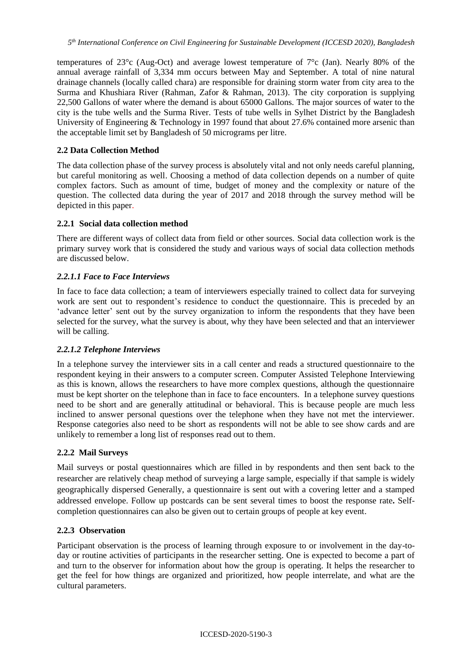temperatures of 23°c (Aug-Oct) and average lowest temperature of 7°c (Jan). Nearly 80% of the annual average rainfall of 3,334 mm occurs between May and September. A total of nine natural drainage channels (locally called chara) are responsible for draining storm water from city area to the Surma and Khushiara River (Rahman, Zafor & Rahman, 2013). The city corporation is supplying 22,500 Gallons of water where the demand is about 65000 Gallons. The major sources of water to the city is the tube wells and the Surma River. Tests of tube wells in Sylhet District by the Bangladesh University of Engineering & Technology in 1997 found that about 27.6% contained more arsenic than the acceptable limit set by Bangladesh of 50 micrograms per litre.

### **2.2 Data Collection Method**

The data collection phase of the survey process is absolutely vital and not only needs careful planning, but careful monitoring as well. Choosing a method of data collection depends on a number of quite complex factors. Such as amount of time, budget of money and the complexity or nature of the question. The collected data during the year of 2017 and 2018 through the survey method will be depicted in this paper.

### **2.2.1 Social data collection method**

There are different ways of collect data from field or other sources. Social data collection work is the primary survey work that is considered the study and various ways of social data collection methods are discussed below.

### *2.2.1.1 Face to Face Interviews*

In face to face data collection; a team of interviewers especially trained to collect data for surveying work are sent out to respondent's residence to conduct the questionnaire. This is preceded by an 'advance letter' sent out by the survey organization to inform the respondents that they have been selected for the survey, what the survey is about, why they have been selected and that an interviewer will be calling.

#### *2.2.1.2 Telephone Interviews*

In a telephone survey the interviewer sits in a call center and reads a structured questionnaire to the respondent keying in their answers to a computer screen. Computer Assisted Telephone Interviewing as this is known, allows the researchers to have more complex questions, although the questionnaire must be kept shorter on the telephone than in face to face encounters. In a telephone survey questions need to be short and are generally attitudinal or behavioral. This is because people are much less inclined to answer personal questions over the telephone when they have not met the interviewer. Response categories also need to be short as respondents will not be able to see show cards and are unlikely to remember a long list of responses read out to them.

#### **2.2.2 Mail Surveys**

Mail surveys or postal questionnaires which are filled in by respondents and then sent back to the researcher are relatively cheap method of surveying a large sample, especially if that sample is widely geographically dispersed Generally, a questionnaire is sent out with a covering letter and a stamped addressed envelope. Follow up postcards can be sent several times to boost the response rate**.** Selfcompletion questionnaires can also be given out to certain groups of people at key event.

#### **2.2.3 Observation**

Participant observation is the process of learning through exposure to or involvement in the day-today or routine activities of participants in the researcher setting. One is expected to become a part of and turn to the observer for information about how the group is operating. It helps the researcher to get the feel for how things are organized and prioritized, how people interrelate, and what are the cultural parameters.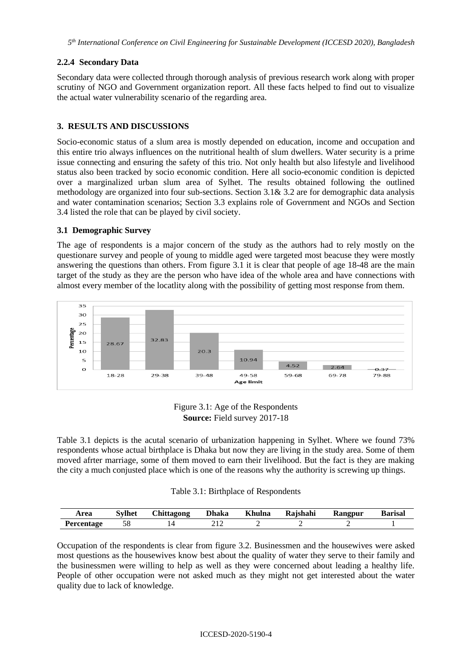# **2.2.4 Secondary Data**

Secondary data were collected through thorough analysis of previous research work along with proper scrutiny of NGO and Government organization report. All these facts helped to find out to visualize the actual water vulnerability scenario of the regarding area.

# **3. RESULTS AND DISCUSSIONS**

Socio-economic status of a slum area is mostly depended on education, income and occupation and this entire trio always influences on the nutritional health of slum dwellers. Water security is a prime issue connecting and ensuring the safety of this trio. Not only health but also lifestyle and livelihood status also been tracked by socio economic condition. Here all socio-economic condition is depicted over a marginalized urban slum area of Sylhet. The results obtained following the outlined methodology are organized into four sub-sections. Section 3.1& 3.2 are for demographic data analysis and water contamination scenarios; Section 3.3 explains role of Government and NGOs and Section 3.4 listed the role that can be played by civil society.

### **3.1 Demographic Survey**

The age of respondents is a major concern of the study as the authors had to rely mostly on the questionare survey and people of young to middle aged were targeted most beacuse they were mostly answering the questions than others. From figure 3.1 it is clear that people of age 18-48 are the main target of the study as they are the person who have idea of the whole area and have connections with almost every member of the locatlity along with the possibility of getting most response from them.



Figure 3.1: Age of the Respondents **Source:** Field survey 2017-18

Table 3.1 depicts is the acutal scenario of urbanization happening in Sylhet. Where we found 73% respondents whose actual birthplace is Dhaka but now they are living in the study area. Some of them moved afrter marriage, some of them moved to earn their livelihood. But the fact is they are making the city a much conjusted place which is one of the reasons why the authority is screwing up things.

|  |  | Table 3.1: Birthplace of Respondents |
|--|--|--------------------------------------|
|--|--|--------------------------------------|

| Area              | Svlhet | <b>Chittagong</b> | <b>Dhaka</b> | <b>Khulna</b> | Rajshahi | Rangpur | <b>Barisal</b> |
|-------------------|--------|-------------------|--------------|---------------|----------|---------|----------------|
| <b>Percentage</b> | 58     |                   |              |               |          |         |                |

Occupation of the respondents is clear from figure 3.2. Businessmen and the housewives were asked most questions as the housewives know best about the quality of water they serve to their family and the businessmen were willing to help as well as they were concerned about leading a healthy life. People of other occupation were not asked much as they might not get interested about the water quality due to lack of knowledge.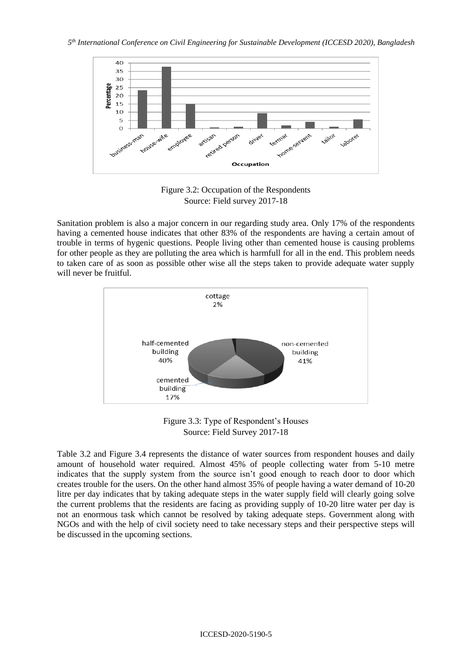

Figure 3.2: Occupation of the Respondents Source: Field survey 2017-18

Sanitation problem is also a major concern in our regarding study area. Only 17% of the respondents having a cemented house indicates that other 83% of the respondents are having a certain amout of trouble in terms of hygenic questions. People living other than cemented house is causing problems for other people as they are polluting the area which is harmfull for all in the end. This problem needs to taken care of as soon as possible other wise all the steps taken to provide adequate water supply will never be fruitful.



Figure 3.3: Type of Respondent's Houses Source: Field Survey 2017-18

Table 3.2 and Figure 3.4 represents the distance of water sources from respondent houses and daily amount of household water required. Almost 45% of people collecting water from 5-10 metre indicates that the supply system from the source isn't good enough to reach door to door which creates trouble for the users. On the other hand almost 35% of people having a water demand of 10-20 litre per day indicates that by taking adequate steps in the water supply field will clearly going solve the current problems that the residents are facing as providing supply of 10-20 litre water per day is not an enormous task which cannot be resolved by taking adequate steps. Government along with NGOs and with the help of civil society need to take necessary steps and their perspective steps will be discussed in the upcoming sections.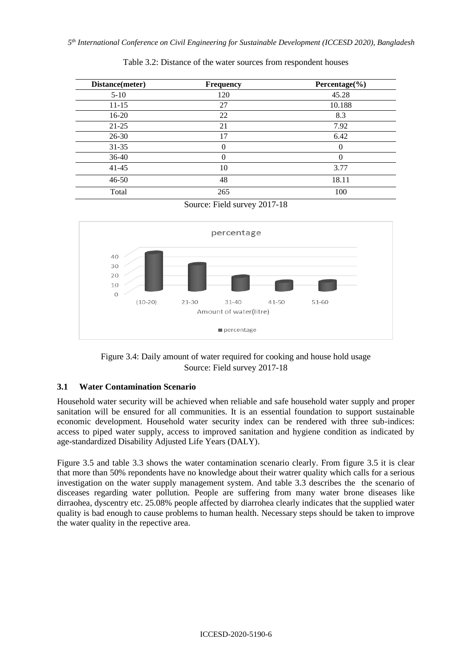| Distance(meter) | <b>Frequency</b> | Percentage $(\% )$ |
|-----------------|------------------|--------------------|
| $5 - 10$        | 120              | 45.28              |
| $11 - 15$       | 27               | 10.188             |
| $16-20$         | 22               | 8.3                |
| $21 - 25$       | 21               | 7.92               |
| $26 - 30$       | 17               | 6.42               |
| $31 - 35$       | 0                |                    |
| $36-40$         | 0                |                    |
| $41 - 45$       | 10               | 3.77               |
| $46 - 50$       | 48               | 18.11              |
| Total           | 265              | 100                |

Table 3.2: Distance of the water sources from respondent houses

Source: Field survey 2017-18



Figure 3.4: Daily amount of water required for cooking and house hold usage Source: Field survey 2017-18

#### **3.1 Water Contamination Scenario**

Household water security will be achieved when reliable and safe household water supply and proper sanitation will be ensured for all communities. It is an essential foundation to support sustainable economic development. Household water security index can be rendered with three sub-indices: access to piped water supply, access to improved sanitation and hygiene condition as indicated by age-standardized Disability Adjusted Life Years (DALY).

Figure 3.5 and table 3.3 shows the water contamination scenario clearly. From figure 3.5 it is clear that more than 50% repondents have no knowledge about their watrer quality which calls for a serious investigation on the water supply management system. And table 3.3 describes the the scenario of disceases regarding water pollution. People are suffering from many water brone diseases like dirraohea, dyscentry etc. 25.08% people affected by diarrohea clearly indicates that the supplied water quality is bad enough to cause problems to human health. Necessary steps should be taken to improve the water quality in the repective area.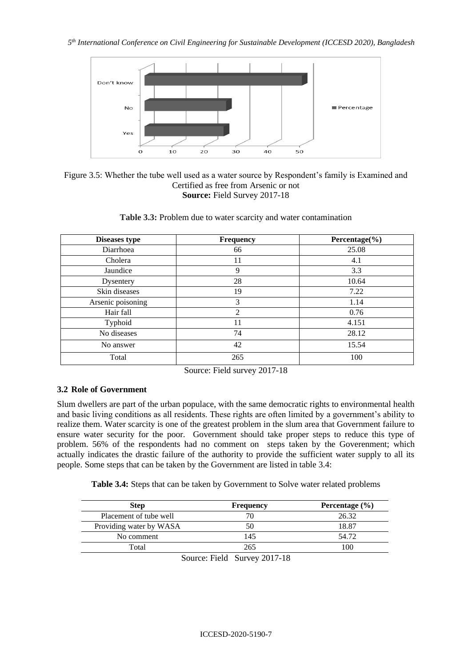



| Table 3.3: Problem due to water scarcity and water contamination |  |  |
|------------------------------------------------------------------|--|--|
|------------------------------------------------------------------|--|--|

| <b>Diseases type</b> | <b>Frequency</b> | Percentage $(\% )$ |
|----------------------|------------------|--------------------|
| Diarrhoea            | 66               | 25.08              |
| Cholera              | 11               | 4.1                |
| Jaundice             | 9                | 3.3                |
| Dysentery            | 28               | 10.64              |
| Skin diseases        | 19               | 7.22               |
| Arsenic poisoning    | 3                | 1.14               |
| Hair fall            | $\mathcal{L}$    | 0.76               |
| Typhoid              | 11               | 4.151              |
| No diseases          | 74               | 28.12              |
| No answer            | 42               | 15.54              |
| Total                | 265              | 100                |

Source: Field survey 2017-18

#### **3.2 Role of Government**

Slum dwellers are part of the urban populace, with the same democratic rights to environmental health and basic living conditions as all residents. These rights are often limited by a government's ability to realize them. Water scarcity is one of the greatest problem in the slum area that Government failure to ensure water security for the poor. Government should take proper steps to reduce this type of problem. 56% of the respondents had no comment on steps taken by the Goverenment; which actually indicates the drastic failure of the authority to provide the sufficient water supply to all its people. Some steps that can be taken by the Government are listed in table 3.4:

**Table 3.4:** Steps that can be taken by Government to Solve water related problems

| <b>Step</b>             | <b>Frequency</b>                                                            | Percentage $(\% )$ |
|-------------------------|-----------------------------------------------------------------------------|--------------------|
| Placement of tube well  |                                                                             | 26.32              |
| Providing water by WASA | 50                                                                          | 18.87              |
| No comment              | 145                                                                         | 54.72              |
| Total                   | 265                                                                         | 100                |
| $\sim$                  | $\blacksquare$<br>$\bullet \bullet \bullet \bullet \bullet \bullet \bullet$ |                    |

Source: Field Survey 2017-18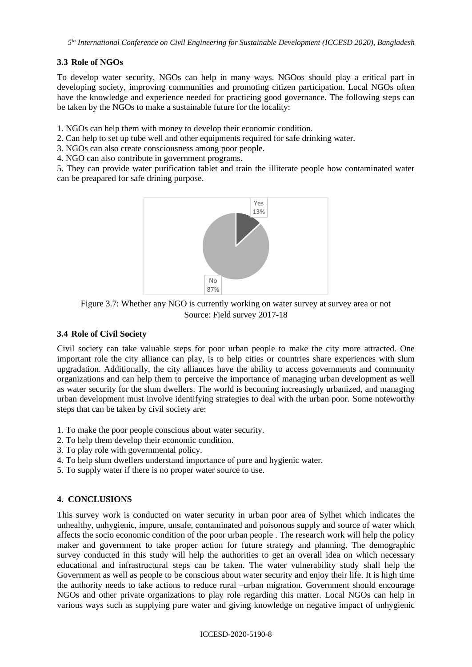# **3.3 Role of NGOs**

To develop water security, NGOs can help in many ways. NGOos should play a critical part in developing society, improving communities and promoting citizen participation. Local NGOs often have the knowledge and experience needed for practicing good governance. The following steps can be taken by the NGOs to make a sustainable future for the locality:

1. NGOs can help them with money to develop their economic condition.

- 2. Can help to set up tube well and other equipments required for safe drinking water.
- 3. NGOs can also create consciousness among poor people.
- 4. NGO can also contribute in government programs.

5. They can provide water purification tablet and train the illiterate people how contaminated water can be preapared for safe drining purpose.



Figure 3.7: Whether any NGO is currently working on water survey at survey area or not Source: Field survey 2017-18

#### **3.4 Role of Civil Society**

Civil society can take valuable steps for poor urban people to make the city more attracted. One important role the city alliance can play, is to help cities or countries share experiences with slum upgradation. Additionally, the city alliances have the ability to access governments and community organizations and can help them to perceive the importance of managing urban development as well as water security for the slum dwellers. The world is becoming increasingly urbanized, and managing urban development must involve identifying strategies to deal with the urban poor. Some noteworthy steps that can be taken by civil society are:

- 1. To make the poor people conscious about water security.
- 2. To help them develop their economic condition.
- 3. To play role with governmental policy.
- 4. To help slum dwellers understand importance of pure and hygienic water.
- 5. To supply water if there is no proper water source to use.

# **4. CONCLUSIONS**

This survey work is conducted on water security in urban poor area of Sylhet which indicates the unhealthy, unhygienic, impure, unsafe, contaminated and poisonous supply and source of water which affects the socio economic condition of the poor urban people . The research work will help the policy maker and government to take proper action for future strategy and planning. The demographic survey conducted in this study will help the authorities to get an overall idea on which necessary educational and infrastructural steps can be taken. The water vulnerability study shall help the Government as well as people to be conscious about water security and enjoy their life. It is high time the authority needs to take actions to reduce rural –urban migration. Government should encourage NGOs and other private organizations to play role regarding this matter. Local NGOs can help in various ways such as supplying pure water and giving knowledge on negative impact of unhygienic